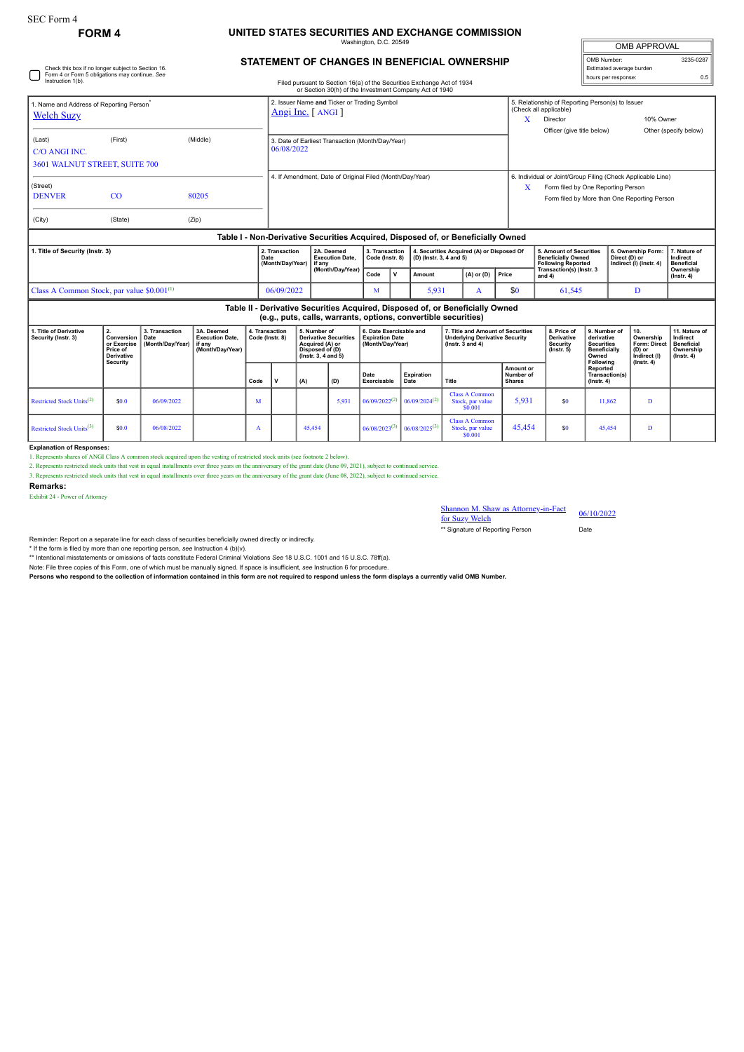## **FORM 4 UNITED STATES SECURITIES AND EXCHANGE COMMISSION** Washington, D.C. 20549

| <b>OMB APPROVAL</b>                             |           |
|-------------------------------------------------|-----------|
| OMB Number:                                     | 3235-0287 |
| Estimated average burden<br>hours per response: | 0.5       |
|                                                 |           |

## **STATEMENT OF CHANGES IN BENEFICIAL OWNERSHIP**

| 1. Title of Derivative                                                    | 2.                                                                               | 4. Transaction |       | 5. Number of | 6. Date Exercisable and<br>7. Title and Amount of Securities                                                                     |                                                                                                                                                 |      |                                                                                                           |                            |  | 8. Price of<br>9. Number of |  |                                                                                                          |                                                                                    | l 10. | 11. Nature of                                                  |                                               |                               |  |  |
|---------------------------------------------------------------------------|----------------------------------------------------------------------------------|----------------|-------|--------------|----------------------------------------------------------------------------------------------------------------------------------|-------------------------------------------------------------------------------------------------------------------------------------------------|------|-----------------------------------------------------------------------------------------------------------|----------------------------|--|-----------------------------|--|----------------------------------------------------------------------------------------------------------|------------------------------------------------------------------------------------|-------|----------------------------------------------------------------|-----------------------------------------------|-------------------------------|--|--|
|                                                                           |                                                                                  |                |       |              |                                                                                                                                  | Table II - Derivative Securities Acquired, Disposed of, or Beneficially Owned<br>(e.g., puts, calls, warrants, options, convertible securities) |      |                                                                                                           |                            |  |                             |  |                                                                                                          |                                                                                    |       |                                                                |                                               |                               |  |  |
| Class A Common Stock, par value \$0.001 <sup>(1)</sup>                    |                                                                                  |                |       |              | 06/09/2022                                                                                                                       |                                                                                                                                                 | м    |                                                                                                           | 5,931                      |  | \$0<br>A                    |  |                                                                                                          | 61,545                                                                             |       | D                                                              |                                               |                               |  |  |
|                                                                           |                                                                                  |                |       |              |                                                                                                                                  | (Month/Day/Year)                                                                                                                                | Code | $\mathbf v$                                                                                               | Amount                     |  | $(A)$ or $(D)$<br>Price     |  |                                                                                                          | Transaction(s) (Instr. 3<br>and 4)                                                 |       |                                                                |                                               | Ownership<br>$($ lnstr. 4 $)$ |  |  |
| 1. Title of Security (Instr. 3)                                           |                                                                                  |                |       | Date         | 2. Transaction<br>(Month/Dav/Year)                                                                                               | 2A. Deemed<br><b>Execution Date.</b><br>if anv                                                                                                  |      | 3. Transaction<br>4. Securities Acquired (A) or Disposed Of<br>Code (Instr. 8)<br>(D) (Instr. 3, 4 and 5) |                            |  |                             |  |                                                                                                          | 5. Amount of Securities<br><b>Beneficially Owned</b><br><b>Following Reported</b>  |       | 6. Ownership Form:<br>Direct (D) or<br>Indirect (I) (Instr. 4) | 7. Nature of<br>Indirect<br><b>Beneficial</b> |                               |  |  |
|                                                                           | Table I - Non-Derivative Securities Acquired, Disposed of, or Beneficially Owned |                |       |              |                                                                                                                                  |                                                                                                                                                 |      |                                                                                                           |                            |  |                             |  |                                                                                                          |                                                                                    |       |                                                                |                                               |                               |  |  |
| (City)                                                                    | (State)                                                                          |                | (Zip) |              |                                                                                                                                  |                                                                                                                                                 |      |                                                                                                           |                            |  |                             |  |                                                                                                          |                                                                                    |       |                                                                |                                               |                               |  |  |
| (Street)<br><b>DENVER</b>                                                 | CO                                                                               |                | 80205 |              |                                                                                                                                  |                                                                                                                                                 |      |                                                                                                           |                            |  |                             |  | X                                                                                                        | Form filed by One Reporting Person<br>Form filed by More than One Reporting Person |       |                                                                |                                               |                               |  |  |
|                                                                           |                                                                                  |                |       |              |                                                                                                                                  | 4. If Amendment, Date of Original Filed (Month/Day/Year)                                                                                        |      |                                                                                                           |                            |  |                             |  |                                                                                                          | 6. Individual or Joint/Group Filing (Check Applicable Line)                        |       |                                                                |                                               |                               |  |  |
| 3601 WALNUT STREET, SUITE 700                                             |                                                                                  |                |       |              |                                                                                                                                  |                                                                                                                                                 |      |                                                                                                           |                            |  |                             |  |                                                                                                          |                                                                                    |       |                                                                |                                               |                               |  |  |
| (Middle)<br>(First)<br>(Last)<br><b>C/O ANGI INC.</b>                     |                                                                                  |                |       |              |                                                                                                                                  | 3. Date of Earliest Transaction (Month/Day/Year)<br>06/08/2022                                                                                  |      |                                                                                                           |                            |  |                             |  |                                                                                                          |                                                                                    |       |                                                                |                                               |                               |  |  |
|                                                                           |                                                                                  |                |       |              |                                                                                                                                  |                                                                                                                                                 |      |                                                                                                           | Officer (give title below) |  |                             |  | Other (specify below)                                                                                    |                                                                                    |       |                                                                |                                               |                               |  |  |
| 1. Name and Address of Reporting Person <sup>*</sup><br><b>Welch Suzy</b> |                                                                                  |                |       |              | 2. Issuer Name and Ticker or Trading Symbol<br>Angi Inc. [ANGI]                                                                  |                                                                                                                                                 |      |                                                                                                           |                            |  |                             |  | 5. Relationship of Reporting Person(s) to Issuer<br>(Check all applicable)<br>10% Owner<br>x<br>Director |                                                                                    |       |                                                                |                                               |                               |  |  |
|                                                                           |                                                                                  |                |       |              |                                                                                                                                  |                                                                                                                                                 |      |                                                                                                           |                            |  |                             |  |                                                                                                          |                                                                                    |       |                                                                |                                               |                               |  |  |
| Form 4 or Form 5 obligations may continue. See<br>Instruction 1(b).       |                                                                                  |                |       |              | Filed pursuant to Section 16(a) of the Securities Exchange Act of 1934<br>or Section 30(h) of the Investment Company Act of 1940 |                                                                                                                                                 |      | hours per response:                                                                                       |                            |  |                             |  |                                                                                                          |                                                                                    |       |                                                                |                                               |                               |  |  |
| Check this box if no longer subject to Section 16.                        |                                                                                  |                |       |              |                                                                                                                                  |                                                                                                                                                 |      | Estimated average burden                                                                                  |                            |  |                             |  |                                                                                                          |                                                                                    |       |                                                                |                                               |                               |  |  |

| סטווסטו שטוויות ווי<br>Security (Instr. 3) | .<br>Conversion  <br>or Exercise<br>Price of<br>Derivative<br>Security | <b>J. Hansacuon</b><br>Date<br>(Month/Dav/Year) lif any | JA. DECIHEG<br><b>Execution Date.</b><br>(Month/Dav/Year) | 4. HAIISAULIUI<br>v. number vi<br><b>Derivative Securities</b><br>Code (Instr. 8)<br>Acquired (A) or<br>Disposed of (D)<br>$($ lnstr. 3. 4 and 5 $)$ |  |                                                                  | <b>0. DAIG EXGICISADIG AIIU</b><br><b>Expiration Date</b><br>(Month/Dav/Year) |                                                | 7. THE AND AND UNIT OF SECUTIVES<br><b>Underlying Derivative Security</b><br>$($ lnstr. $3$ and $4)$ |                                                      | <b>U.FILEUI</b><br>Derivative<br><b>Security</b><br>$($ lnstr. 5 $)$ | ı ə. number or<br>derivative<br><b>Securities</b><br><b>Beneficially</b><br>Owned<br>Following | ιν.<br>Ownership<br>Form: Direct<br>(D) or<br>Indirect (I)<br>$($ lnstr. 4 $)$ | <b>II. NAULTE UL</b><br>Indirect<br><b>Beneficial</b><br>Ownership<br>$($ lnstr. 4 $)$ |  |
|--------------------------------------------|------------------------------------------------------------------------|---------------------------------------------------------|-----------------------------------------------------------|------------------------------------------------------------------------------------------------------------------------------------------------------|--|------------------------------------------------------------------|-------------------------------------------------------------------------------|------------------------------------------------|------------------------------------------------------------------------------------------------------|------------------------------------------------------|----------------------------------------------------------------------|------------------------------------------------------------------------------------------------|--------------------------------------------------------------------------------|----------------------------------------------------------------------------------------|--|
|                                            |                                                                        |                                                         |                                                           | Code                                                                                                                                                 |  | Expiration<br>Date<br>(A)<br>(D)<br>Exercisable<br>Title<br>Date |                                                                               | <b>Amount or</b><br>Number of<br><b>Shares</b> |                                                                                                      | Reported<br>Transaction(s)<br>$($ lnstr, 4 $)$       |                                                                      |                                                                                                |                                                                                |                                                                                        |  |
| Restricted Stock Units <sup>(2)</sup>      | \$0.0                                                                  | 06/09/2022                                              |                                                           | м                                                                                                                                                    |  |                                                                  | 5,931                                                                         | $06/09/2022^{(2)}$                             | $06/09/2024^{(2)}$                                                                                   | <b>Class A Common</b><br>Stock, par value<br>\$0,001 | 5,931                                                                | \$0                                                                                            | 11.862                                                                         |                                                                                        |  |
| Restricted Stock Units <sup>(3)</sup>      | \$0.0                                                                  | 06/08/2022                                              |                                                           |                                                                                                                                                      |  | 45.454                                                           |                                                                               | $06/08/2023^{(3)}$                             | $06/08/2025^{(3)}$                                                                                   | <b>Class A Common</b><br>Stock, par value<br>\$0.001 | 45.454                                                               | \$0                                                                                            | 45.454                                                                         |                                                                                        |  |

**Explanation of Responses:**

Exhibit 24 - Power of Attorney

1. Represents shares of ANGI Class A common stock acquired upon the vesting of restricted stock units (see footnote 2 below).

2. Represents restricted stock units that vest in equal installments over three years on the anniversary of the grant date (June 09, 2021), subject to continued service.

3. Represents restricted stock units that vest in equal installments over three years on the anniversary of the grant date (June 08, 2022), subject to continued service.

**Remarks:**

Shannon M. Shaw as Attorney-in-Fact 66/10/2022<br>for Suzy Welch

\*\* Signature of Reporting Person Date

Reminder: Report on a separate line for each class of securities beneficially owned directly or indirectly.

\* If the form is filed by more than one reporting person, see Instruction 4 (b)(v).<br>\*\* Intentional misstatements or omissions of facts constitute Federal Criminal Violations See 18 U.S.C. 1001 and 15 U.S.C. 78ff(a).

Note: File three copies of this Form, one of which must be manually signed. If space is insufficient, see Instruction 6 for procedure.<br>Persons who respond to the collection of information contained in this form are not req